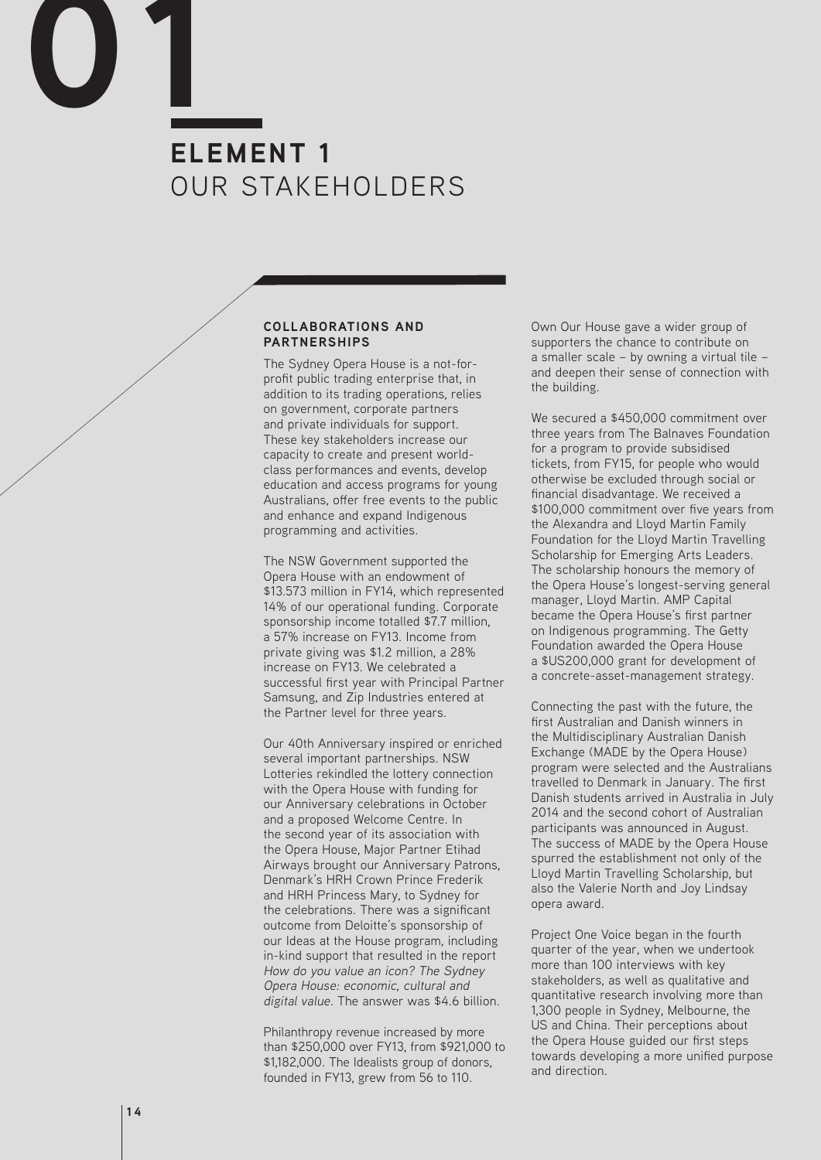# **ELEMENT 1** OUR STAKEHOLDERS **01**

#### **COLLABORATIONS AND PARTNERSHIPS**

The Sydney Opera House is a not-forprofit public trading enterprise that, in addition to its trading operations, relies on government, corporate partners and private individuals for support. These key stakeholders increase our capacity to create and present worldclass performances and events, develop education and access programs for young Australians, offer free events to the public and enhance and expand Indigenous programming and activities.

The NSW Government supported the Opera House with an endowment of \$13.573 million in FY14, which represented 14% of our operational funding. Corporate sponsorship income totalled \$7.7 million, a 57% increase on FY13. Income from private giving was \$1.2 million, a 28% increase on FY13. We celebrated a successful first year with Principal Partner Samsung, and Zip Industries entered at the Partner level for three years.

Our 40th Anniversary inspired or enriched several important partnerships. NSW Lotteries rekindled the lottery connection with the Opera House with funding for our Anniversary celebrations in October and a proposed Welcome Centre. In the second year of its association with the Opera House, Major Partner Etihad Airways brought our Anniversary Patrons, Denmark's HRH Crown Prince Frederik and HRH Princess Mary, to Sydney for the celebrations. There was a significant outcome from Deloitte's sponsorship of our Ideas at the House program, including in-kind support that resulted in the report How do you value an icon? The Sydney Opera House: economic, cultural and digital value. The answer was \$4.6 billion.

Philanthropy revenue increased by more than \$250,000 over FY13, from \$921,000 to \$1,182,000. The Idealists group of donors, founded in FY13, grew from 56 to 110.

Own Our House gave a wider group of supporters the chance to contribute on a smaller scale – by owning a virtual tile – and deepen their sense of connection with the building.

We secured a \$450,000 commitment over three years from The Balnaves Foundation for a program to provide subsidised tickets, from FY15, for people who would otherwise be excluded through social or financial disadvantage. We received a \$100,000 commitment over five years from the Alexandra and Lloyd Martin Family Foundation for the Lloyd Martin Travelling Scholarship for Emerging Arts Leaders. The scholarship honours the memory of the Opera House's longest-serving general manager, Lloyd Martin. AMP Capital became the Opera House's first partner on Indigenous programming. The Getty Foundation awarded the Opera House a \$US200,000 grant for development of a concrete-asset-management strategy.

Connecting the past with the future, the first Australian and Danish winners in the Multidisciplinary Australian Danish Exchange (MADE by the Opera House) program were selected and the Australians travelled to Denmark in January. The first Danish students arrived in Australia in July 2014 and the second cohort of Australian participants was announced in August. The success of MADE by the Opera House spurred the establishment not only of the Lloyd Martin Travelling Scholarship, but also the Valerie North and Joy Lindsay opera award.

Project One Voice began in the fourth quarter of the year, when we undertook more than 100 interviews with key stakeholders, as well as qualitative and quantitative research involving more than 1,300 people in Sydney, Melbourne, the US and China. Their perceptions about the Opera House guided our first steps towards developing a more unified purpose and direction.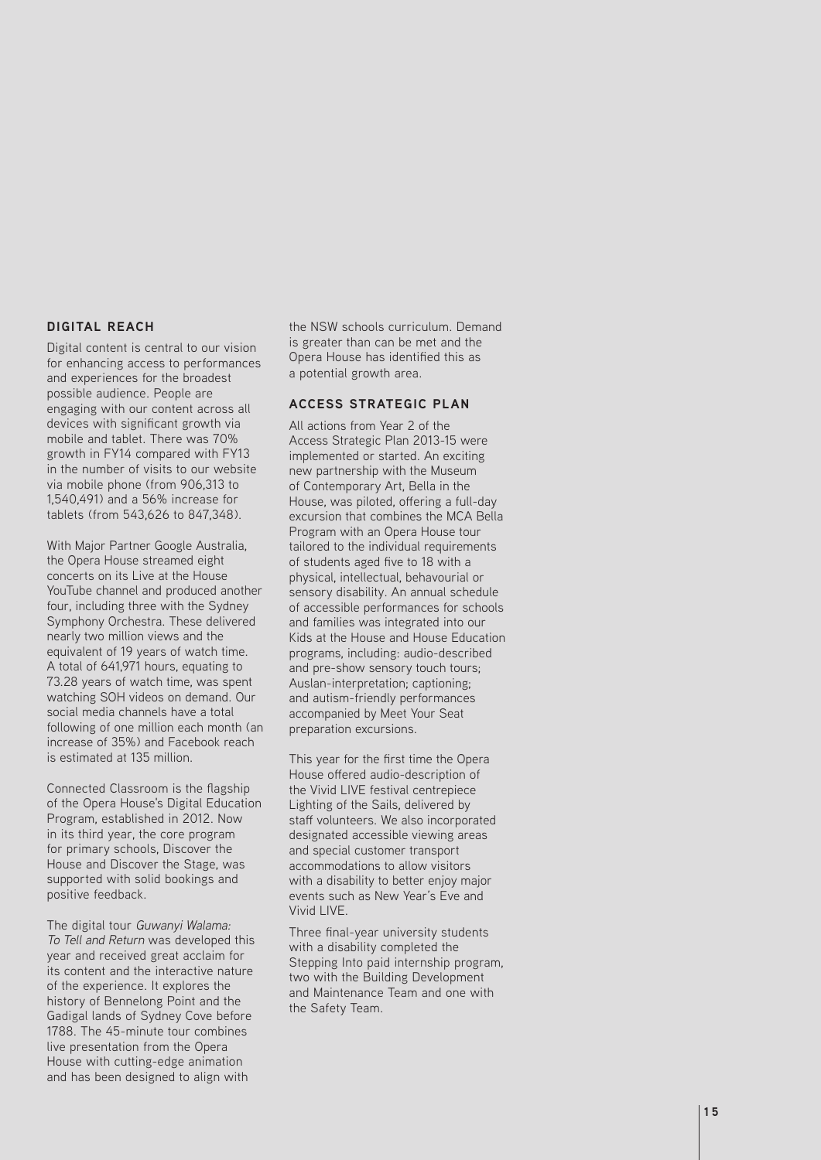### **DIGITAL REACH**

Digital content is central to our vision for enhancing access to performances and experiences for the broadest possible audience. People are engaging with our content across all devices with significant growth via mobile and tablet. There was 70% growth in FY14 compared with FY13 in the number of visits to our website via mobile phone (from 906,313 to 1,540,491) and a 56% increase for tablets (from 543,626 to 847,348).

With Major Partner Google Australia, the Opera House streamed eight concerts on its Live at the House YouTube channel and produced another four, including three with the Sydney Symphony Orchestra. These delivered nearly two million views and the equivalent of 19 years of watch time. A total of 641,971 hours, equating to 73.28 years of watch time, was spent watching SOH videos on demand. Our social media channels have a total following of one million each month (an increase of 35%) and Facebook reach is estimated at 135 million.

Connected Classroom is the flagship of the Opera House's Digital Education Program, established in 2012. Now in its third year, the core program for primary schools, Discover the House and Discover the Stage, was supported with solid bookings and positive feedback.

The digital tour Guwanyi Walama: To Tell and Return was developed this year and received great acclaim for its content and the interactive nature of the experience. It explores the history of Bennelong Point and the Gadigal lands of Sydney Cove before 1788. The 45-minute tour combines live presentation from the Opera House with cutting-edge animation and has been designed to align with

the NSW schools curriculum. Demand is greater than can be met and the Opera House has identified this as a potential growth area.

#### **ACCESS STRATEGIC PLAN**

All actions from Year 2 of the Access Strategic Plan 2013-15 were implemented or started. An exciting new partnership with the Museum of Contemporary Art, Bella in the House, was piloted, offering a full-day excursion that combines the MCA Bella Program with an Opera House tour tailored to the individual requirements of students aged five to 18 with a physical, intellectual, behavourial or sensory disability. An annual schedule of accessible performances for schools and families was integrated into our Kids at the House and House Education programs, including: audio-described and pre-show sensory touch tours; Auslan-interpretation; captioning; and autism-friendly performances accompanied by Meet Your Seat preparation excursions.

This year for the first time the Opera House offered audio-description of the Vivid LIVE festival centrepiece Lighting of the Sails, delivered by staff volunteers. We also incorporated designated accessible viewing areas and special customer transport accommodations to allow visitors with a disability to better enjoy major events such as New Year's Eve and Vivid LIVE.

Three final-year university students with a disability completed the Stepping Into paid internship program, two with the Building Development and Maintenance Team and one with the Safety Team.